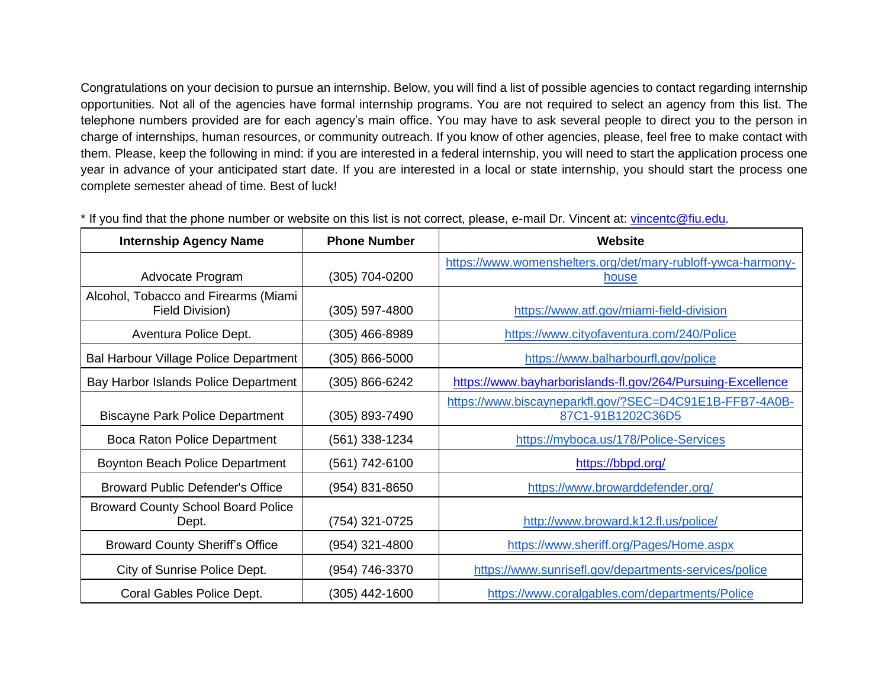Congratulations on your decision to pursue an internship. Below, you will find a list of possible agencies to contact regarding internship opportunities. Not all of the agencies have formal internship programs. You are not required to select an agency from this list. The telephone numbers provided are for each agency's main office. You may have to ask several people to direct you to the person in charge of internships, human resources, or community outreach. If you know of other agencies, please, feel free to make contact with them. Please, keep the following in mind: if you are interested in a federal internship, you will need to start the application process one year in advance of your anticipated start date. If you are interested in a local or state internship, you should start the process one complete semester ahead of time. Best of luck!

| <b>Internship Agency Name</b>                           | <b>Phone Number</b> | Website                                                                      |
|---------------------------------------------------------|---------------------|------------------------------------------------------------------------------|
| Advocate Program                                        | (305) 704-0200      | https://www.womenshelters.org/det/mary-rubloff-ywca-harmony-<br>house        |
| Alcohol, Tobacco and Firearms (Miami<br>Field Division) | $(305)$ 597-4800    | https://www.atf.gov/miami-field-division                                     |
| Aventura Police Dept.                                   | $(305)$ 466-8989    | https://www.cityofaventura.com/240/Police                                    |
| <b>Bal Harbour Village Police Department</b>            | $(305) 866 - 5000$  | https://www.balharbourfl.gov/police                                          |
| Bay Harbor Islands Police Department                    | $(305) 866 - 6242$  | https://www.bayharborislands-fl.gov/264/Pursuing-Excellence                  |
| <b>Biscayne Park Police Department</b>                  | $(305) 893 - 7490$  | https://www.biscayneparkfl.gov/?SEC=D4C91E1B-FFB7-4A0B-<br>87C1-91B1202C36D5 |
| <b>Boca Raton Police Department</b>                     | (561) 338-1234      | https://myboca.us/178/Police-Services                                        |
| Boynton Beach Police Department                         | (561) 742-6100      | https://bbpd.org/                                                            |
| <b>Broward Public Defender's Office</b>                 | (954) 831-8650      | https://www.browarddefender.org/                                             |
| <b>Broward County School Board Police</b><br>Dept.      | (754) 321-0725      | http://www.broward.k12.fl.us/police/                                         |
| <b>Broward County Sheriff's Office</b>                  | (954) 321-4800      | https://www.sheriff.org/Pages/Home.aspx                                      |
| City of Sunrise Police Dept.                            | (954) 746-3370      | https://www.sunrisefl.gov/departments-services/police                        |
| Coral Gables Police Dept.                               | (305) 442-1600      | https://www.coralgables.com/departments/Police                               |

\* If you find that the phone number or website on this list is not correct, please, e-mail Dr. Vincent at: [vincentc@fiu.edu.](mailto:vincentc@fiu.edu)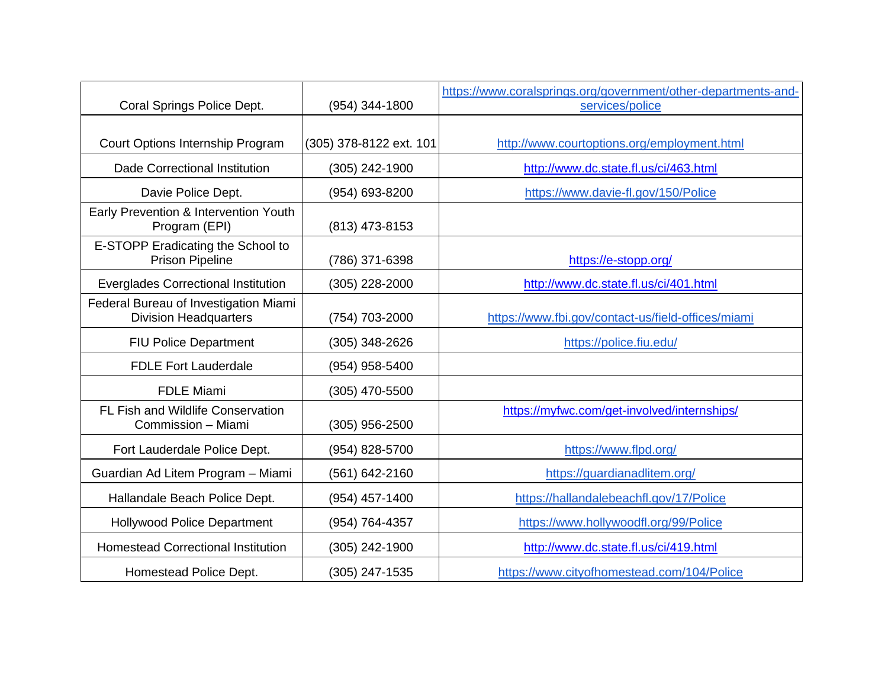| Coral Springs Police Dept.                                            | (954) 344-1800          | https://www.coralsprings.org/government/other-departments-and-<br>services/police |
|-----------------------------------------------------------------------|-------------------------|-----------------------------------------------------------------------------------|
|                                                                       |                         |                                                                                   |
| Court Options Internship Program                                      | (305) 378-8122 ext. 101 | http://www.courtoptions.org/employment.html                                       |
| Dade Correctional Institution                                         | $(305)$ 242-1900        | http://www.dc.state.fl.us/ci/463.html                                             |
| Davie Police Dept.                                                    | (954) 693-8200          | https://www.davie-fl.gov/150/Police                                               |
| Early Prevention & Intervention Youth<br>Program (EPI)                | $(813)$ 473-8153        |                                                                                   |
| E-STOPP Eradicating the School to<br><b>Prison Pipeline</b>           | (786) 371-6398          | https://e-stopp.org/                                                              |
| <b>Everglades Correctional Institution</b>                            | (305) 228-2000          | http://www.dc.state.fl.us/ci/401.html                                             |
| Federal Bureau of Investigation Miami<br><b>Division Headquarters</b> | (754) 703-2000          | https://www.fbi.gov/contact-us/field-offices/miami                                |
| <b>FIU Police Department</b>                                          | (305) 348-2626          | https://police.fiu.edu/                                                           |
| <b>FDLE Fort Lauderdale</b>                                           | (954) 958-5400          |                                                                                   |
| <b>FDLE Miami</b>                                                     | (305) 470-5500          |                                                                                   |
| <b>FL Fish and Wildlife Conservation</b><br>Commission - Miami        | (305) 956-2500          | https://myfwc.com/get-involved/internships/                                       |
| Fort Lauderdale Police Dept.                                          | (954) 828-5700          | https://www.flpd.org/                                                             |
| Guardian Ad Litem Program - Miami                                     | (561) 642-2160          | https://guardianadlitem.org/                                                      |
| Hallandale Beach Police Dept.                                         | (954) 457-1400          | https://hallandalebeachfl.gov/17/Police                                           |
| <b>Hollywood Police Department</b>                                    | (954) 764-4357          | https://www.hollywoodfl.org/99/Police                                             |
| <b>Homestead Correctional Institution</b>                             | (305) 242-1900          | http://www.dc.state.fl.us/ci/419.html                                             |
| Homestead Police Dept.                                                | (305) 247-1535          | https://www.cityofhomestead.com/104/Police                                        |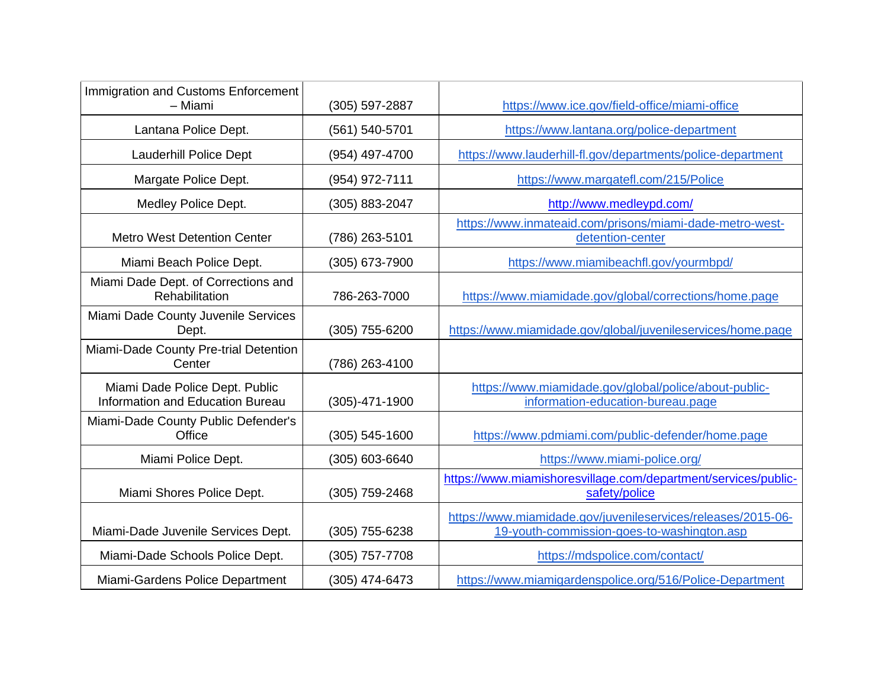| Immigration and Customs Enforcement<br>- Miami                     | (305) 597-2887   | https://www.ice.gov/field-office/miami-office                                                              |
|--------------------------------------------------------------------|------------------|------------------------------------------------------------------------------------------------------------|
| Lantana Police Dept.                                               | (561) 540-5701   | https://www.lantana.org/police-department                                                                  |
| <b>Lauderhill Police Dept</b>                                      | (954) 497-4700   | https://www.lauderhill-fl.gov/departments/police-department                                                |
| Margate Police Dept.                                               | (954) 972-7111   | https://www.margatefl.com/215/Police                                                                       |
| Medley Police Dept.                                                | (305) 883-2047   | http://www.medleypd.com/                                                                                   |
| <b>Metro West Detention Center</b>                                 | (786) 263-5101   | https://www.inmateaid.com/prisons/miami-dade-metro-west-<br>detention-center                               |
| Miami Beach Police Dept.                                           | (305) 673-7900   | https://www.miamibeachfl.gov/yourmbpd/                                                                     |
| Miami Dade Dept. of Corrections and<br><b>Rehabilitation</b>       | 786-263-7000     | https://www.miamidade.gov/global/corrections/home.page                                                     |
| Miami Dade County Juvenile Services<br>Dept.                       | (305) 755-6200   | https://www.miamidade.gov/global/juvenileservices/home.page                                                |
| Miami-Dade County Pre-trial Detention<br>Center                    | (786) 263-4100   |                                                                                                            |
| Miami Dade Police Dept. Public<br>Information and Education Bureau | $(305)-471-1900$ | https://www.miamidade.gov/global/police/about-public-<br>information-education-bureau.page                 |
| Miami-Dade County Public Defender's<br>Office                      | $(305)$ 545-1600 | https://www.pdmiami.com/public-defender/home.page                                                          |
| Miami Police Dept.                                                 | (305) 603-6640   | https://www.miami-police.org/                                                                              |
| Miami Shores Police Dept.                                          | (305) 759-2468   | https://www.miamishoresvillage.com/department/services/public-<br>safety/police                            |
| Miami-Dade Juvenile Services Dept.                                 | (305) 755-6238   | https://www.miamidade.gov/juvenileservices/releases/2015-06-<br>19-youth-commission-goes-to-washington.asp |
| Miami-Dade Schools Police Dept.                                    | (305) 757-7708   | https://mdspolice.com/contact/                                                                             |
| Miami-Gardens Police Department                                    | (305) 474-6473   | https://www.miamigardenspolice.org/516/Police-Department                                                   |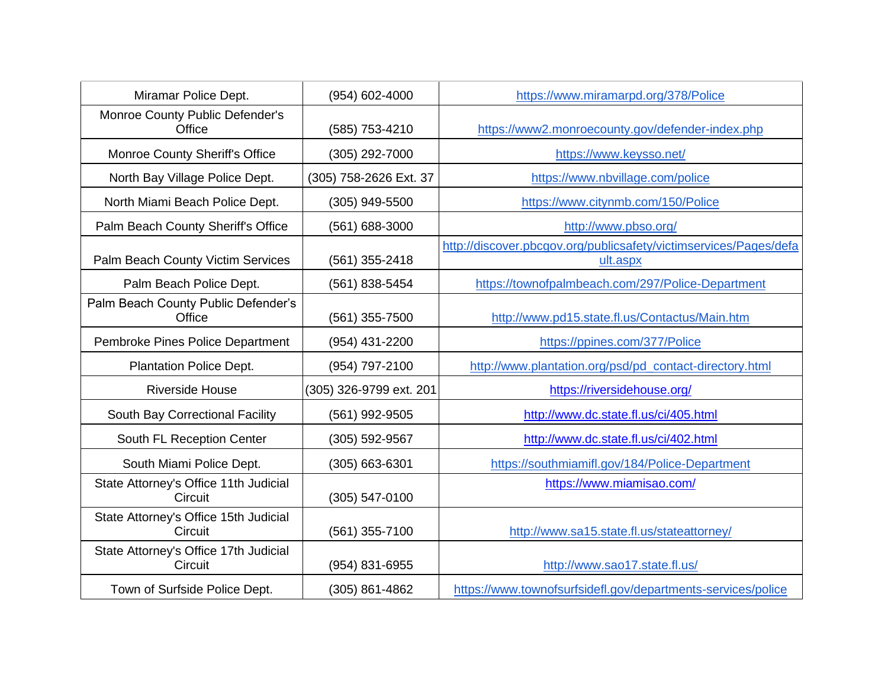| Miramar Police Dept.                             | (954) 602-4000          | https://www.miramarpd.org/378/Police                                          |
|--------------------------------------------------|-------------------------|-------------------------------------------------------------------------------|
| Monroe County Public Defender's<br>Office        | (585) 753-4210          | https://www2.monroecounty.gov/defender-index.php                              |
| Monroe County Sheriff's Office                   | (305) 292-7000          | https://www.keysso.net/                                                       |
| North Bay Village Police Dept.                   | (305) 758-2626 Ext. 37  | https://www.nbvillage.com/police                                              |
| North Miami Beach Police Dept.                   | (305) 949-5500          | https://www.citynmb.com/150/Police                                            |
| Palm Beach County Sheriff's Office               | (561) 688-3000          | http://www.pbso.org/                                                          |
| Palm Beach County Victim Services                | (561) 355-2418          | http://discover.pbcgov.org/publicsafety/victimservices/Pages/defa<br>ult.aspx |
| Palm Beach Police Dept.                          | (561) 838-5454          | https://townofpalmbeach.com/297/Police-Department                             |
| Palm Beach County Public Defender's<br>Office    | (561) 355-7500          | http://www.pd15.state.fl.us/Contactus/Main.htm                                |
| Pembroke Pines Police Department                 | (954) 431-2200          | https://ppines.com/377/Police                                                 |
| <b>Plantation Police Dept.</b>                   | (954) 797-2100          | http://www.plantation.org/psd/pd_contact-directory.html                       |
| <b>Riverside House</b>                           | (305) 326-9799 ext. 201 | https://riversidehouse.org/                                                   |
| South Bay Correctional Facility                  | (561) 992-9505          | http://www.dc.state.fl.us/ci/405.html                                         |
| South FL Reception Center                        | (305) 592-9567          | http://www.dc.state.fl.us/ci/402.html                                         |
| South Miami Police Dept.                         | (305) 663-6301          | https://southmiamifl.gov/184/Police-Department                                |
| State Attorney's Office 11th Judicial<br>Circuit | (305) 547-0100          | https://www.miamisao.com/                                                     |
| State Attorney's Office 15th Judicial<br>Circuit | (561) 355-7100          | http://www.sa15.state.fl.us/stateattorney/                                    |
| State Attorney's Office 17th Judicial<br>Circuit | (954) 831-6955          | http://www.sao17.state.fl.us/                                                 |
| Town of Surfside Police Dept.                    | (305) 861-4862          | https://www.townofsurfsidefl.gov/departments-services/police                  |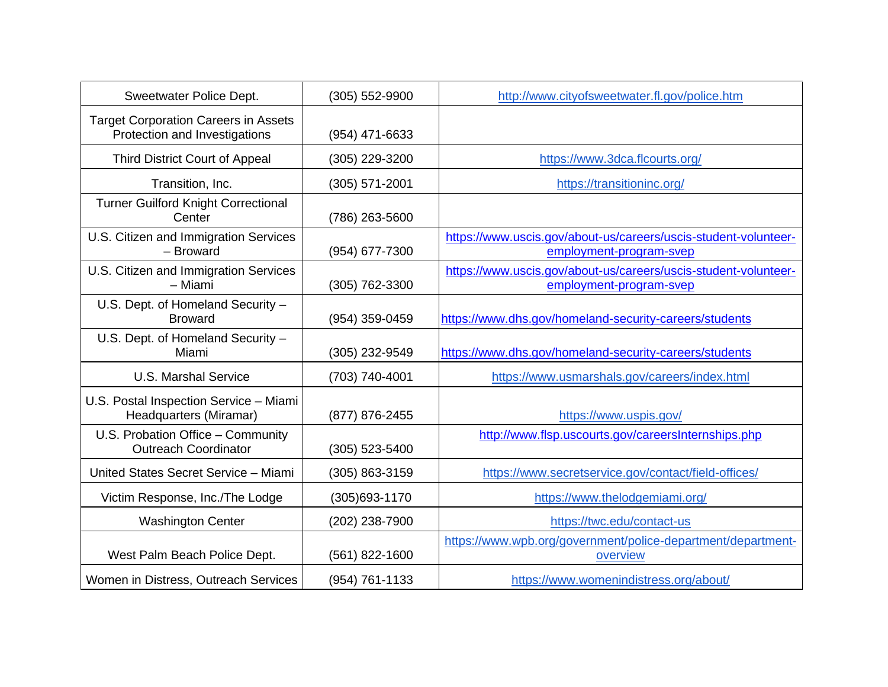| Sweetwater Police Dept.                                                      | $(305) 552 - 9900$ | http://www.cityofsweetwater.fl.gov/police.htm                                              |
|------------------------------------------------------------------------------|--------------------|--------------------------------------------------------------------------------------------|
| <b>Target Corporation Careers in Assets</b><br>Protection and Investigations | (954) 471-6633     |                                                                                            |
| Third District Court of Appeal                                               | (305) 229-3200     | https://www.3dca.flcourts.org/                                                             |
| Transition, Inc.                                                             | $(305) 571 - 2001$ | https://transitioninc.org/                                                                 |
| <b>Turner Guilford Knight Correctional</b><br>Center                         | (786) 263-5600     |                                                                                            |
| U.S. Citizen and Immigration Services<br>- Broward                           | (954) 677-7300     | https://www.uscis.gov/about-us/careers/uscis-student-volunteer-<br>employment-program-svep |
| U.S. Citizen and Immigration Services<br>- Miami                             | (305) 762-3300     | https://www.uscis.gov/about-us/careers/uscis-student-volunteer-<br>employment-program-svep |
| U.S. Dept. of Homeland Security -<br><b>Broward</b>                          | (954) 359-0459     | https://www.dhs.gov/homeland-security-careers/students                                     |
| U.S. Dept. of Homeland Security -<br>Miami                                   | (305) 232-9549     | https://www.dhs.gov/homeland-security-careers/students                                     |
| <b>U.S. Marshal Service</b>                                                  | (703) 740-4001     | https://www.usmarshals.gov/careers/index.html                                              |
| U.S. Postal Inspection Service - Miami<br>Headquarters (Miramar)             | (877) 876-2455     | https://www.uspis.gov/                                                                     |
| U.S. Probation Office - Community<br><b>Outreach Coordinator</b>             | $(305)$ 523-5400   | http://www.flsp.uscourts.gov/careersInternships.php                                        |
| United States Secret Service - Miami                                         | (305) 863-3159     | https://www.secretservice.gov/contact/field-offices/                                       |
| Victim Response, Inc./The Lodge                                              | (305) 693-1170     | https://www.thelodgemiami.org/                                                             |
| <b>Washington Center</b>                                                     | (202) 238-7900     | https://twc.edu/contact-us                                                                 |
| West Palm Beach Police Dept.                                                 | (561) 822-1600     | https://www.wpb.org/government/police-department/department-<br>overview                   |
| Women in Distress, Outreach Services                                         | (954) 761-1133     | https://www.womenindistress.org/about/                                                     |